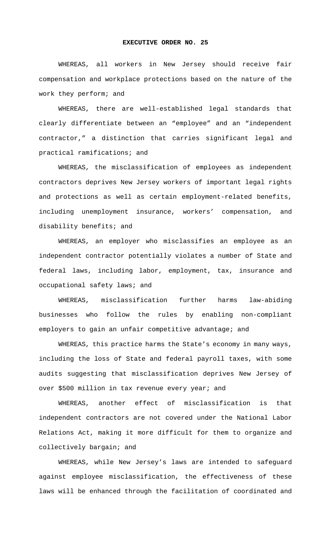## **EXECUTIVE ORDER NO. 25**

WHEREAS, all workers in New Jersey should receive fair compensation and workplace protections based on the nature of the work they perform; and

WHEREAS, there are well-established legal standards that clearly differentiate between an "employee" and an "independent contractor," a distinction that carries significant legal and practical ramifications; and

WHEREAS, the misclassification of employees as independent contractors deprives New Jersey workers of important legal rights and protections as well as certain employment-related benefits, including unemployment insurance, workers' compensation, and disability benefits; and

WHEREAS, an employer who misclassifies an employee as an independent contractor potentially violates a number of State and federal laws, including labor, employment, tax, insurance and occupational safety laws; and

WHEREAS, misclassification further harms law-abiding businesses who follow the rules by enabling non-compliant employers to gain an unfair competitive advantage; and

WHEREAS, this practice harms the State's economy in many ways, including the loss of State and federal payroll taxes, with some audits suggesting that misclassification deprives New Jersey of over \$500 million in tax revenue every year; and

WHEREAS, another effect of misclassification is that independent contractors are not covered under the National Labor Relations Act, making it more difficult for them to organize and collectively bargain; and

WHEREAS, while New Jersey's laws are intended to safeguard against employee misclassification, the effectiveness of these laws will be enhanced through the facilitation of coordinated and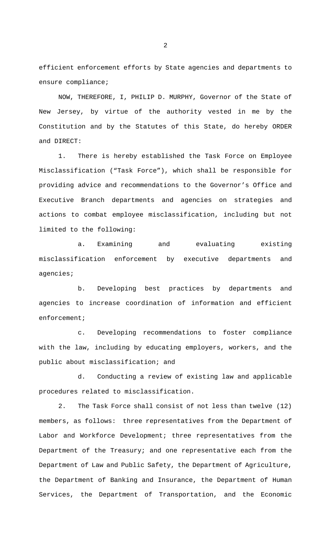efficient enforcement efforts by State agencies and departments to ensure compliance;

 NOW, THEREFORE, I, PHILIP D. MURPHY, Governor of the State of New Jersey, by virtue of the authority vested in me by the Constitution and by the Statutes of this State, do hereby ORDER and DIRECT:

1. There is hereby established the Task Force on Employee Misclassification ("Task Force"), which shall be responsible for providing advice and recommendations to the Governor's Office and Executive Branch departments and agencies on strategies and actions to combat employee misclassification, including but not limited to the following:

a. Examining and evaluating existing misclassification enforcement by executive departments and agencies;

b. Developing best practices by departments and agencies to increase coordination of information and efficient enforcement;

c. Developing recommendations to foster compliance with the law, including by educating employers, workers, and the public about misclassification; and

d. Conducting a review of existing law and applicable procedures related to misclassification.

2. The Task Force shall consist of not less than twelve (12) members, as follows: three representatives from the Department of Labor and Workforce Development; three representatives from the Department of the Treasury; and one representative each from the Department of Law and Public Safety, the Department of Agriculture, the Department of Banking and Insurance, the Department of Human Services, the Department of Transportation, and the Economic

2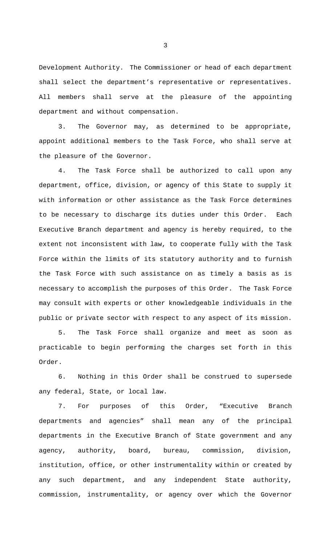Development Authority. The Commissioner or head of each department shall select the department's representative or representatives. All members shall serve at the pleasure of the appointing department and without compensation.

3. The Governor may, as determined to be appropriate, appoint additional members to the Task Force, who shall serve at the pleasure of the Governor.

4. The Task Force shall be authorized to call upon any department, office, division, or agency of this State to supply it with information or other assistance as the Task Force determines to be necessary to discharge its duties under this Order. Each Executive Branch department and agency is hereby required, to the extent not inconsistent with law, to cooperate fully with the Task Force within the limits of its statutory authority and to furnish the Task Force with such assistance on as timely a basis as is necessary to accomplish the purposes of this Order. The Task Force may consult with experts or other knowledgeable individuals in the public or private sector with respect to any aspect of its mission.

5. The Task Force shall organize and meet as soon as practicable to begin performing the charges set forth in this Order.

6. Nothing in this Order shall be construed to supersede any federal, State, or local law.

7. For purposes of this Order, "Executive Branch departments and agencies" shall mean any of the principal departments in the Executive Branch of State government and any agency, authority, board, bureau, commission, division, institution, office, or other instrumentality within or created by any such department, and any independent State authority, commission, instrumentality, or agency over which the Governor

3